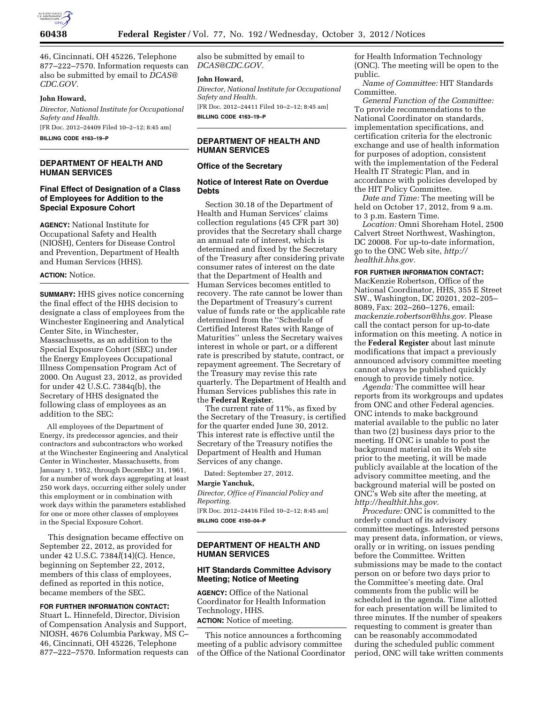

46, Cincinnati, OH 45226, Telephone 877–222–7570. Information requests can also be submitted by email to *[DCAS@](mailto:DCAS@CDC.GOV) [CDC.GOV.](mailto:DCAS@CDC.GOV)* 

## **John Howard,**

*Director, National Institute for Occupational Safety and Health.*  [FR Doc. 2012–24409 Filed 10–2–12; 8:45 am]

**BILLING CODE 4163–19–P** 

# **DEPARTMENT OF HEALTH AND HUMAN SERVICES**

# **Final Effect of Designation of a Class of Employees for Addition to the Special Exposure Cohort**

**AGENCY:** National Institute for Occupational Safety and Health (NIOSH), Centers for Disease Control and Prevention, Department of Health and Human Services (HHS).

#### **ACTION:** Notice.

**SUMMARY:** HHS gives notice concerning the final effect of the HHS decision to designate a class of employees from the Winchester Engineering and Analytical Center Site, in Winchester, Massachusetts, as an addition to the Special Exposure Cohort (SEC) under the Energy Employees Occupational Illness Compensation Program Act of 2000. On August 23, 2012, as provided for under 42 U.S.C. 7384q(b), the Secretary of HHS designated the following class of employees as an addition to the SEC:

All employees of the Department of Energy, its predecessor agencies, and their contractors and subcontractors who worked at the Winchester Engineering and Analytical Center in Winchester, Massachusetts, from January 1, 1952, through December 31, 1961, for a number of work days aggregating at least 250 work days, occurring either solely under this employment or in combination with work days within the parameters established for one or more other classes of employees in the Special Exposure Cohort.

This designation became effective on September 22, 2012, as provided for under 42 U.S.C. 7384*l*(14)(C). Hence, beginning on September 22, 2012, members of this class of employees, defined as reported in this notice, became members of the SEC.

### **FOR FURTHER INFORMATION CONTACT:**

Stuart L. Hinnefeld, Director, Division of Compensation Analysis and Support, NIOSH, 4676 Columbia Parkway, MS C– 46, Cincinnati, OH 45226, Telephone 877–222–7570. Information requests can also be submitted by email to *[DCAS@CDC.GOV.](mailto:DCAS@CDC.GOV)* 

#### **John Howard,**

*Director, National Institute for Occupational Safety and Health.* 

[FR Doc. 2012–24411 Filed 10–2–12; 8:45 am] **BILLING CODE 4163–19–P** 

# **DEPARTMENT OF HEALTH AND HUMAN SERVICES**

#### **Office of the Secretary**

## **Notice of Interest Rate on Overdue Debts**

Section 30.18 of the Department of Health and Human Services' claims collection regulations (45 CFR part 30) provides that the Secretary shall charge an annual rate of interest, which is determined and fixed by the Secretary of the Treasury after considering private consumer rates of interest on the date that the Department of Health and Human Services becomes entitled to recovery. The rate cannot be lower than the Department of Treasury's current value of funds rate or the applicable rate determined from the ''Schedule of Certified Interest Rates with Range of Maturities'' unless the Secretary waives interest in whole or part, or a different rate is prescribed by statute, contract, or repayment agreement. The Secretary of the Treasury may revise this rate quarterly. The Department of Health and Human Services publishes this rate in the **Federal Register**.

The current rate of 11%, as fixed by the Secretary of the Treasury, is certified for the quarter ended June 30, 2012. This interest rate is effective until the Secretary of the Treasury notifies the Department of Health and Human Services of any change.

Dated: September 27, 2012.

#### **Margie Yanchuk,**

*Director, Office of Financial Policy and Reporting.*  [FR Doc. 2012–24416 Filed 10–2–12; 8:45 am] **BILLING CODE 4150–04–P** 

# **DEPARTMENT OF HEALTH AND HUMAN SERVICES**

# **HIT Standards Committee Advisory Meeting; Notice of Meeting**

**AGENCY:** Office of the National Coordinator for Health Information Technology, HHS.

# **ACTION:** Notice of meeting.

This notice announces a forthcoming meeting of a public advisory committee of the Office of the National Coordinator for Health Information Technology (ONC). The meeting will be open to the public.

*Name of Committee:* HIT Standards Committee.

*General Function of the Committee:*  To provide recommendations to the National Coordinator on standards, implementation specifications, and certification criteria for the electronic exchange and use of health information for purposes of adoption, consistent with the implementation of the Federal Health IT Strategic Plan, and in accordance with policies developed by the HIT Policy Committee.

*Date and Time:* The meeting will be held on October 17, 2012, from 9 a.m. to 3 p.m. Eastern Time.

*Location:* Omni Shoreham Hotel, 2500 Calvert Street Northwest, Washington, DC 20008. For up-to-date information, go to the ONC Web site, *[http://](http://healthit.hhs.gov) [healthit.hhs.gov.](http://healthit.hhs.gov)* 

### **FOR FURTHER INFORMATION CONTACT:**

MacKenzie Robertson, Office of the National Coordinator, HHS, 355 E Street SW., Washington, DC 20201, 202–205– 8089, Fax: 202–260–1276, email: *[mackenzie.robertson@hhs.gov.](mailto:mackenzie.robertson@hhs.gov)* Please call the contact person for up-to-date information on this meeting. A notice in the **Federal Register** about last minute modifications that impact a previously announced advisory committee meeting cannot always be published quickly enough to provide timely notice.

*Agenda:* The committee will hear reports from its workgroups and updates from ONC and other Federal agencies. ONC intends to make background material available to the public no later than two (2) business days prior to the meeting. If ONC is unable to post the background material on its Web site prior to the meeting, it will be made publicly available at the location of the advisory committee meeting, and the background material will be posted on ONC's Web site after the meeting, at *[http://healthit.hhs.gov.](http://healthit.hhs.gov)* 

*Procedure:* ONC is committed to the orderly conduct of its advisory committee meetings. Interested persons may present data, information, or views, orally or in writing, on issues pending before the Committee. Written submissions may be made to the contact person on or before two days prior to the Committee's meeting date. Oral comments from the public will be scheduled in the agenda. Time allotted for each presentation will be limited to three minutes. If the number of speakers requesting to comment is greater than can be reasonably accommodated during the scheduled public comment period, ONC will take written comments